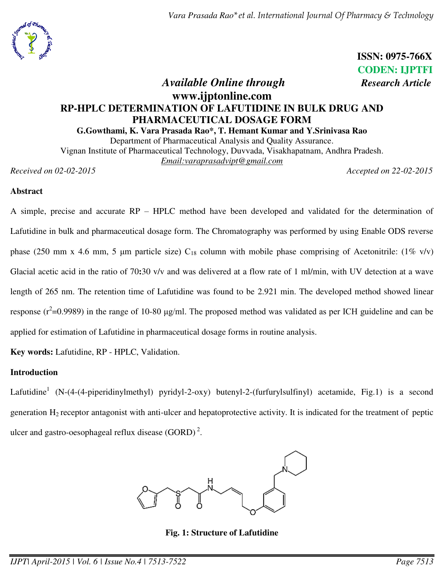*Vara Prasada Rao\*et al. International Journal Of Pharmacy & Technology* 



 **ISSN: 0975-766X CODEN: IJPTFI** 

# *Available Online through Research Article* **www.ijptonline.com RP-HPLC DETERMINATION OF LAFUTIDINE IN BULK DRUG AND PHARMACEUTICAL DOSAGE FORM**

**G.Gowthami, K. Vara Prasada Rao\*, T. Hemant Kumar and Y.Srinivasa Rao**  Department of Pharmaceutical Analysis and Quality Assurance.

Vignan Institute of Pharmaceutical Technology, Duvvada, Visakhapatnam, Andhra Pradesh. *Email:varaprasadvipt@gmail.com* 

*Received on 02-02-2015 Accepted on 22-02-2015*

# **Abstract**

A simple, precise and accurate RP – HPLC method have been developed and validated for the determination of Lafutidine in bulk and pharmaceutical dosage form. The Chromatography was performed by using Enable ODS reverse phase (250 mm x 4.6 mm, 5 µm particle size)  $C_{18}$  column with mobile phase comprising of Acetonitrile: (1% v/v) Glacial acetic acid in the ratio of 70**:**30 v/v and was delivered at a flow rate of 1 ml/min, with UV detection at a wave length of 265 nm. The retention time of Lafutidine was found to be 2.921 min. The developed method showed linear response ( $r^2$ =0.9989) in the range of 10-80  $\mu$ g/ml. The proposed method was validated as per ICH guideline and can be applied for estimation of Lafutidine in pharmaceutical dosage forms in routine analysis.

**Key words:** Lafutidine, RP - HPLC, Validation.

# **Introduction**

Lafutidine<sup>1</sup> (N-(4-(4-piperidinylmethyl) pyridyl-2-oxy) butenyl-2-(furfurylsulfinyl) acetamide, Fig.1) is a second generation  $H_2$  receptor antagonist with anti-ulcer and hepatoprotective activity. It is indicated for the treatment of peptic ulcer and gastro-oesophageal reflux disease  $(GORD)^2$ .

**Fig. 1: Structure of Lafutidine**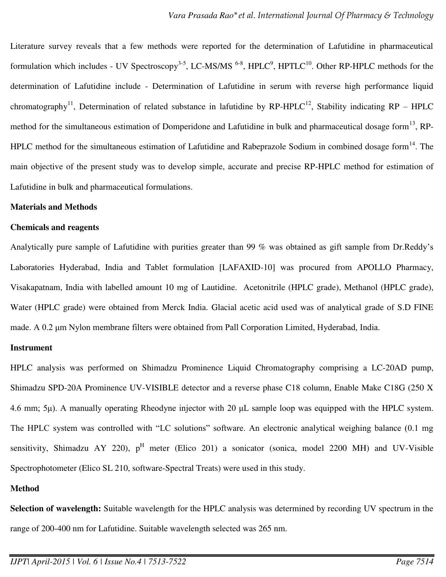Literature survey reveals that a few methods were reported for the determination of Lafutidine in pharmaceutical formulation which includes - UV Spectroscopy<sup>3-5</sup>, LC-MS/MS <sup>6-8</sup>, HPLC<sup>9</sup>, HPTLC<sup>10</sup>. Other RP-HPLC methods for the determination of Lafutidine include - Determination of Lafutidine in serum with reverse high performance liquid chromatography<sup>11</sup>, Determination of related substance in lafutidine by RP-HPLC<sup>12</sup>, Stability indicating RP – HPLC method for the simultaneous estimation of Domperidone and Lafutidine in bulk and pharmaceutical dosage form<sup>13</sup>, RP-HPLC method for the simultaneous estimation of Lafutidine and Rabeprazole Sodium in combined dosage form<sup>14</sup>. The main objective of the present study was to develop simple, accurate and precise RP-HPLC method for estimation of Lafutidine in bulk and pharmaceutical formulations.

#### **Materials and Methods**

#### **Chemicals and reagents**

Analytically pure sample of Lafutidine with purities greater than 99 % was obtained as gift sample from Dr.Reddy's Laboratories Hyderabad, India and Tablet formulation [LAFAXID-10] was procured from APOLLO Pharmacy, Visakapatnam, India with labelled amount 10 mg of Lautidine. Acetonitrile (HPLC grade), Methanol (HPLC grade), Water (HPLC grade) were obtained from Merck India. Glacial acetic acid used was of analytical grade of S.D FINE made. A 0.2 μm Nylon membrane filters were obtained from Pall Corporation Limited, Hyderabad, India.

### **Instrument**

HPLC analysis was performed on Shimadzu Prominence Liquid Chromatography comprising a LC-20AD pump, Shimadzu SPD-20A Prominence UV-VISIBLE detector and a reverse phase C18 column, Enable Make C18G (250 X 4.6 mm; 5μ). A manually operating Rheodyne injector with 20 μL sample loop was equipped with the HPLC system. The HPLC system was controlled with "LC solutions" software. An electronic analytical weighing balance (0.1 mg sensitivity, Shimadzu AY 220),  $p^H$  meter (Elico 201) a sonicator (sonica, model 2200 MH) and UV-Visible Spectrophotometer (Elico SL 210, software-Spectral Treats) were used in this study.

#### **Method**

**Selection of wavelength:** Suitable wavelength for the HPLC analysis was determined by recording UV spectrum in the range of 200-400 nm for Lafutidine. Suitable wavelength selected was 265 nm.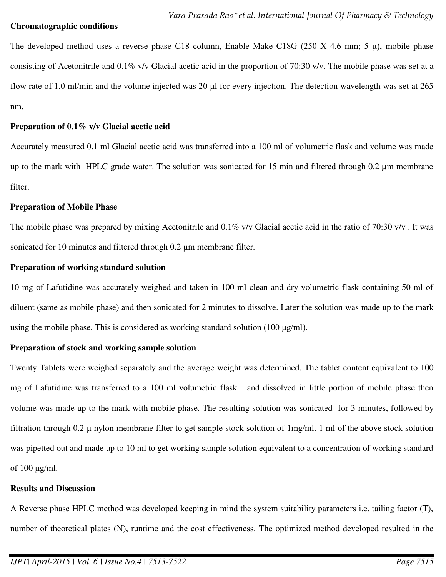#### **Chromatographic conditions**

The developed method uses a reverse phase C18 column, Enable Make C18G (250 X 4.6 mm; 5 μ), mobile phase consisting of Acetonitrile and 0.1% v/v Glacial acetic acid in the proportion of 70:30 v/v. The mobile phase was set at a flow rate of 1.0 ml/min and the volume injected was 20 μl for every injection. The detection wavelength was set at 265 nm.

### **Preparation of 0.1% v/v Glacial acetic acid**

Accurately measured 0.1 ml Glacial acetic acid was transferred into a 100 ml of volumetric flask and volume was made up to the mark with HPLC grade water. The solution was sonicated for 15 min and filtered through  $0.2 \mu$ m membrane filter.

### **Preparation of Mobile Phase**

The mobile phase was prepared by mixing Acetonitrile and 0.1% v/v Glacial acetic acid in the ratio of 70:30 v/v . It was sonicated for 10 minutes and filtered through 0.2 μm membrane filter.

## **Preparation of working standard solution**

10 mg of Lafutidine was accurately weighed and taken in 100 ml clean and dry volumetric flask containing 50 ml of diluent (same as mobile phase) and then sonicated for 2 minutes to dissolve. Later the solution was made up to the mark using the mobile phase. This is considered as working standard solution (100  $\mu$ g/ml).

## **Preparation of stock and working sample solution**

Twenty Tablets were weighed separately and the average weight was determined. The tablet content equivalent to 100 mg of Lafutidine was transferred to a 100 ml volumetric flask and dissolved in little portion of mobile phase then volume was made up to the mark with mobile phase. The resulting solution was sonicated for 3 minutes, followed by filtration through 0.2 μ nylon membrane filter to get sample stock solution of 1mg/ml. 1 ml of the above stock solution was pipetted out and made up to 10 ml to get working sample solution equivalent to a concentration of working standard of 100 μg/ml.

## **Results and Discussion**

A Reverse phase HPLC method was developed keeping in mind the system suitability parameters i.e. tailing factor (T), number of theoretical plates (N), runtime and the cost effectiveness. The optimized method developed resulted in the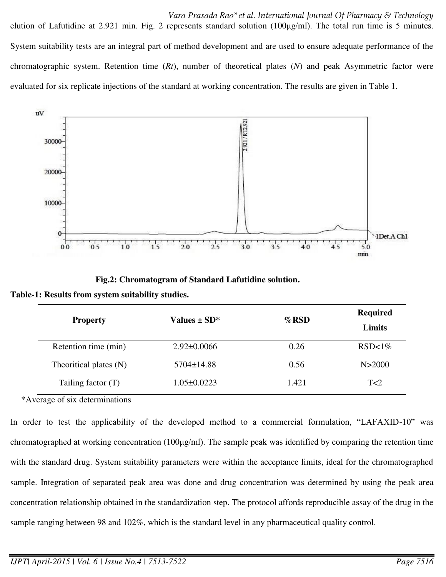*Vara Prasada Rao\*et al. International Journal Of Pharmacy & Technology*  elution of Lafutidine at 2.921 min. Fig. 2 represents standard solution (100μg/ml). The total run time is 5 minutes. System suitability tests are an integral part of method development and are used to ensure adequate performance of the chromatographic system. Retention time (*Rt*), number of theoretical plates (*N*) and peak Asymmetric factor were evaluated for six replicate injections of the standard at working concentration. The results are given in Table 1.



 **Fig.2: Chromatogram of Standard Lafutidine solution.** 

|  |  |  |  | Table-1: Results from system suitability studies. |  |
|--|--|--|--|---------------------------------------------------|--|
|--|--|--|--|---------------------------------------------------|--|

| <b>Property</b>        | Values ± SD*      | $\%$ RSD | <b>Required</b><br>Limits |
|------------------------|-------------------|----------|---------------------------|
| Retention time (min)   | $2.92 \pm 0.0066$ | 0.26     | $RSD<1\%$                 |
| Theoritical plates (N) | $5704 \pm 14.88$  | 0.56     | N > 2000                  |
| Tailing factor $(T)$   | $1.05 \pm 0.0223$ | 1.421    | T<2                       |

\*Average of six determinations

In order to test the applicability of the developed method to a commercial formulation, "LAFAXID-10" was chromatographed at working concentration (100 $\mu$ g/ml). The sample peak was identified by comparing the retention time with the standard drug. System suitability parameters were within the acceptance limits, ideal for the chromatographed sample. Integration of separated peak area was done and drug concentration was determined by using the peak area concentration relationship obtained in the standardization step. The protocol affords reproducible assay of the drug in the sample ranging between 98 and 102%, which is the standard level in any pharmaceutical quality control.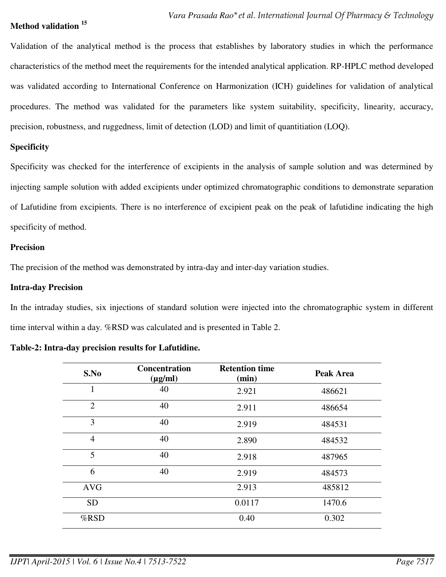### **Method validation <sup>15</sup>**

Validation of the analytical method is the process that establishes by laboratory studies in which the performance characteristics of the method meet the requirements for the intended analytical application. RP-HPLC method developed was validated according to International Conference on Harmonization (ICH) guidelines for validation of analytical procedures. The method was validated for the parameters like system suitability, specificity, linearity, accuracy, precision, robustness, and ruggedness, limit of detection (LOD) and limit of quantitiation (LOQ).

### **Specificity**

Specificity was checked for the interference of excipients in the analysis of sample solution and was determined by injecting sample solution with added excipients under optimized chromatographic conditions to demonstrate separation of Lafutidine from excipients*.* There is no interference of excipient peak on the peak of lafutidine indicating the high specificity of method.

#### **Precision**

The precision of the method was demonstrated by intra-day and inter-day variation studies.

#### **Intra-day Precision**

In the intraday studies, six injections of standard solution were injected into the chromatographic system in different time interval within a day. %RSD was calculated and is presented in Table 2.

| S.No           | <b>Concentration</b><br>$(\mu g/ml)$ | <b>Retention time</b><br>(min) | Peak Area |
|----------------|--------------------------------------|--------------------------------|-----------|
| 1              | 40                                   | 2.921                          | 486621    |
| $\overline{2}$ | 40                                   | 2.911                          | 486654    |
| 3              | 40                                   | 2.919                          | 484531    |
| $\overline{4}$ | 40                                   | 2.890                          | 484532    |
| 5              | 40                                   | 2.918                          | 487965    |
| 6              | 40                                   | 2.919                          | 484573    |
| <b>AVG</b>     |                                      | 2.913                          | 485812    |
| <b>SD</b>      |                                      | 0.0117                         | 1470.6    |
| %RSD           |                                      | 0.40                           | 0.302     |

| Table-2: Intra-day precision results for Lafutidine. |  |  |  |
|------------------------------------------------------|--|--|--|
|------------------------------------------------------|--|--|--|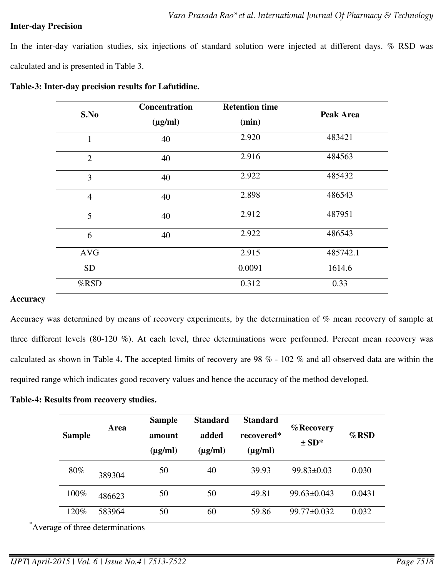#### **Inter-day Precision**

In the inter-day variation studies, six injections of standard solution were injected at different days. % RSD was calculated and is presented in Table 3.

| S.No           | <b>Concentration</b> | <b>Retention time</b> | Peak Area |  |
|----------------|----------------------|-----------------------|-----------|--|
|                | $(\mu g/ml)$         | (min)                 |           |  |
| $\mathbf{1}$   | 40                   | 2.920                 | 483421    |  |
| $\overline{2}$ | 40                   | 2.916                 | 484563    |  |
| 3              | 40                   | 2.922                 | 485432    |  |
| $\overline{4}$ | 40                   | 2.898                 | 486543    |  |
| 5              | 40                   | 2.912                 | 487951    |  |
| 6              | 40                   | 2.922                 | 486543    |  |
| <b>AVG</b>     |                      | 2.915                 | 485742.1  |  |
| <b>SD</b>      |                      | 0.0091                | 1614.6    |  |
| %RSD           |                      | 0.312                 | 0.33      |  |

| Table-3: Inter-day precision results for Lafutidine. |  |  |  |
|------------------------------------------------------|--|--|--|
|------------------------------------------------------|--|--|--|

#### **Accuracy**

Accuracy was determined by means of recovery experiments, by the determination of % mean recovery of sample at three different levels (80-120 %). At each level, three determinations were performed. Percent mean recovery was calculated as shown in Table 4**.** The accepted limits of recovery are 98 % - 102 % and all observed data are within the required range which indicates good recovery values and hence the accuracy of the method developed.

#### **Table-4: Results from recovery studies.**

| <b>Sample</b> | Area   | <b>Sample</b><br>amount<br>$(\mu g/ml)$ | <b>Standard</b><br>added<br>$(\mu$ g/ml) | <b>Standard</b><br>recovered*<br>$(\mu g/ml)$ | % Recovery<br>$\pm SD^*$ | $\%$ RSD |
|---------------|--------|-----------------------------------------|------------------------------------------|-----------------------------------------------|--------------------------|----------|
| 80%           | 389304 | 50                                      | 40                                       | 39.93                                         | $99.83 \pm 0.03$         | 0.030    |
| 100%          | 486623 | 50                                      | 50                                       | 49.81                                         | $99.63 \pm 0.043$        | 0.0431   |
| 120%          | 583964 | 50                                      | 60                                       | 59.86                                         | $99.77 \pm 0.032$        | 0.032    |

\*Average of three determinations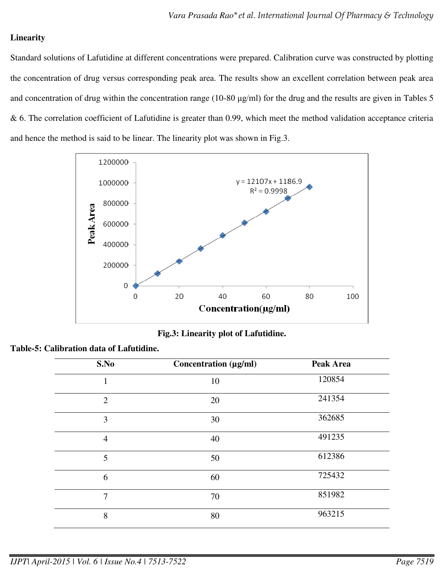# **Linearity**

Standard solutions of Lafutidine at different concentrations were prepared. Calibration curve was constructed by plotting the concentration of drug versus corresponding peak area. The results show an excellent correlation between peak area and concentration of drug within the concentration range (10-80 μg/ml) for the drug and the results are given in Tables 5 & 6. The correlation coefficient of Lafutidine is greater than 0.99, which meet the method validation acceptance criteria and hence the method is said to be linear. The linearity plot was shown in Fig.3.



**Fig.3: Linearity plot of Lafutidine.** 

|  |  |  | Table-5: Calibration data of Lafutidine. |
|--|--|--|------------------------------------------|
|--|--|--|------------------------------------------|

| S.No           | Concentration (µg/ml) | Peak Area |
|----------------|-----------------------|-----------|
| 1              | 10                    | 120854    |
| $\overline{2}$ | 20                    | 241354    |
| 3              | 30                    | 362685    |
| $\overline{4}$ | 40                    | 491235    |
| 5              | 50                    | 612386    |
| 6              | 60                    | 725432    |
| 7              | 70                    | 851982    |
| 8              | 80                    | 963215    |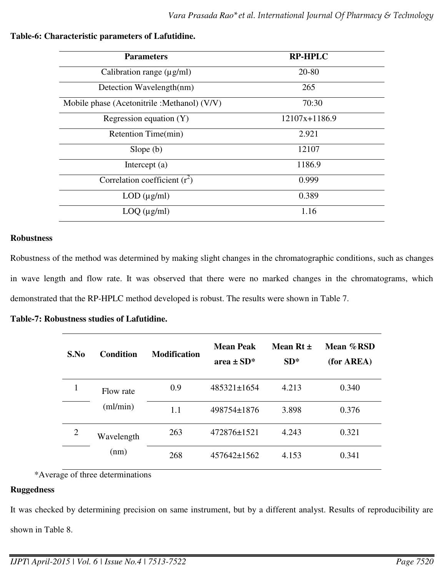| <b>Parameters</b>                            | <b>RP-HPLC</b>    |
|----------------------------------------------|-------------------|
| Calibration range $(\mu g/ml)$               | 20-80             |
| Detection Wavelength(nm)                     | 265               |
| Mobile phase (Acetonitrile : Methanol) (V/V) | 70:30             |
| Regression equation $(Y)$                    | $12107x + 1186.9$ |
| Retention Time(min)                          | 2.921             |
| Slope $(b)$                                  | 12107             |
| Intercept $(a)$                              | 1186.9            |
| Correlation coefficient $(r^2)$              | 0.999             |
| $LOD$ ( $\mu$ g/ml)                          | 0.389             |
| $LOQ$ ( $\mu$ g/ml)                          | 1.16              |

# **Table-6: Characteristic parameters of Lafutidine.**

### **Robustness**

Robustness of the method was determined by making slight changes in the chromatographic conditions, such as changes in wave length and flow rate. It was observed that there were no marked changes in the chromatograms, which demonstrated that the RP-HPLC method developed is robust. The results were shown in Table 7.

#### **Table-7: Robustness studies of Lafutidine.**

| S.No           | <b>Condition</b>    | <b>Modification</b> | <b>Mean Peak</b><br>area $\pm$ SD* | Mean Rt $\pm$<br>$SD*$ | Mean %RSD<br>(for AREA) |
|----------------|---------------------|---------------------|------------------------------------|------------------------|-------------------------|
|                | Flow rate<br>m/min) | 0.9                 | $485321 \pm 1654$                  | 4.213                  | 0.340                   |
|                |                     | 1.1                 | 498754±1876                        | 3.898                  | 0.376                   |
| $\overline{2}$ | Wavelength<br>(nm)  | 263                 | 472876±1521                        | 4.243                  | 0.321                   |
|                |                     | 268                 | $457642 \pm 1562$                  | 4.153                  | 0.341                   |

\*Average of three determinations

#### **Ruggedness**

It was checked by determining precision on same instrument, but by a different analyst. Results of reproducibility are shown in Table 8.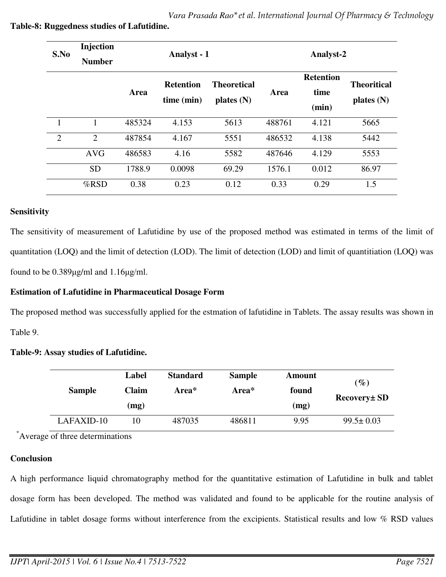| S.No           | Injection<br><b>Number</b> | Analyst - 1 |                                |                                    | Analyst-2 |                                   |                                    |
|----------------|----------------------------|-------------|--------------------------------|------------------------------------|-----------|-----------------------------------|------------------------------------|
|                |                            | Area        | <b>Retention</b><br>time (min) | <b>Theoretical</b><br>plates $(N)$ | Area      | <b>Retention</b><br>time<br>(min) | <b>Theoritical</b><br>plates $(N)$ |
| 1              | 1                          | 485324      | 4.153                          | 5613                               | 488761    | 4.121                             | 5665                               |
| $\overline{2}$ | $\overline{2}$             | 487854      | 4.167                          | 5551                               | 486532    | 4.138                             | 5442                               |
|                | <b>AVG</b>                 | 486583      | 4.16                           | 5582                               | 487646    | 4.129                             | 5553                               |
|                | <b>SD</b>                  | 1788.9      | 0.0098                         | 69.29                              | 1576.1    | 0.012                             | 86.97                              |
|                | $%$ RSD                    | 0.38        | 0.23                           | 0.12                               | 0.33      | 0.29                              | 1.5                                |

# **Table-8: Ruggedness studies of Lafutidine.**

# **Sensitivity**

The sensitivity of measurement of Lafutidine by use of the proposed method was estimated in terms of the limit of quantitation (LOQ) and the limit of detection (LOD). The limit of detection (LOD) and limit of quantitiation (LOQ) was found to be 0.389μg/ml and 1.16μg/ml.

# **Estimation of Lafutidine in Pharmaceutical Dosage Form**

The proposed method was successfully applied for the estmation of lafutidine in Tablets. The assay results was shown in Table 9.

# **Table-9: Assay studies of Lafutidine.**

| <b>Sample</b> | Label        | <b>Standard</b> | <b>Sample</b> | Amount |                 |
|---------------|--------------|-----------------|---------------|--------|-----------------|
|               | <b>Claim</b> | Area*           | Area*         | found  | $(\%)$          |
|               | (mg)         |                 |               | (mg)   | Recovery ± SD   |
| LAFAXID-10    |              | 487035          | 486811        | 9.95   | $99.5 \pm 0.03$ |

\*Average of three determinations

# **Conclusion**

A high performance liquid chromatography method for the quantitative estimation of Lafutidine in bulk and tablet dosage form has been developed. The method was validated and found to be applicable for the routine analysis of Lafutidine in tablet dosage forms without interference from the excipients. Statistical results and low % RSD values